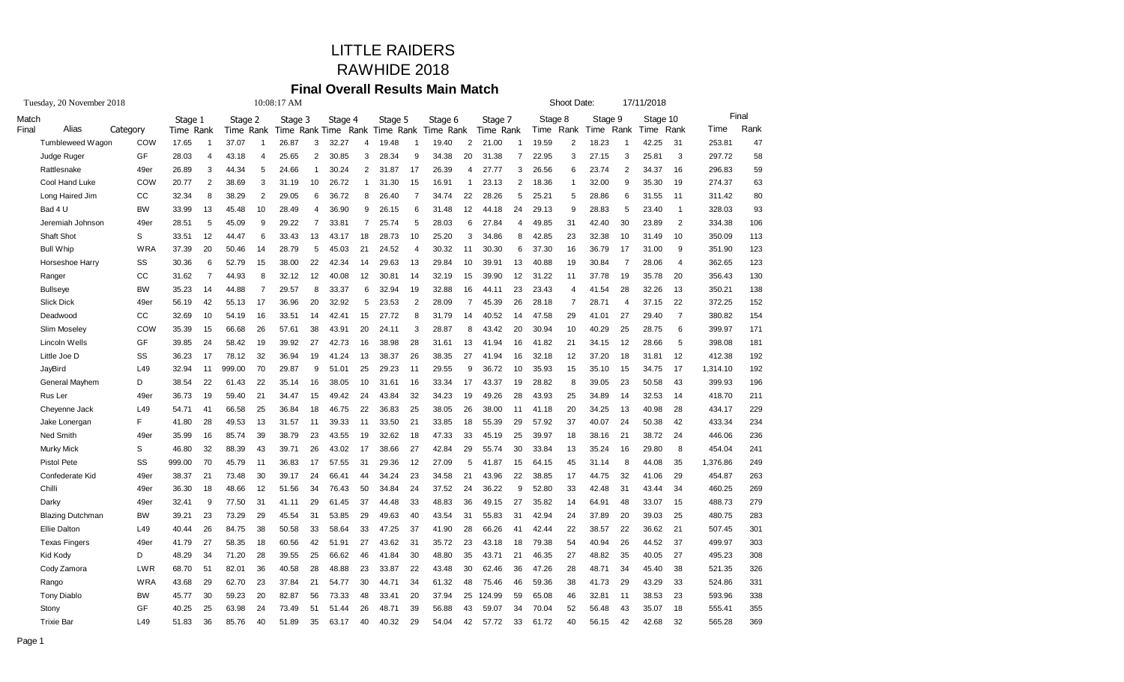## LITTLE RAIDERS RAWHIDE 2018

# **Final Overall Results Main Match**

| Tuesday, 20 November 2018 |            | 10:08:17 AM    |                |         |                |                                    |                |         |                |         |                |           |                |           |                | Shoot Date: |                |         | 17/11/2018     |          |                |          |       |
|---------------------------|------------|----------------|----------------|---------|----------------|------------------------------------|----------------|---------|----------------|---------|----------------|-----------|----------------|-----------|----------------|-------------|----------------|---------|----------------|----------|----------------|----------|-------|
| Match                     |            | Stage 1        |                | Stage 2 |                | Stage 3                            |                | Stage 4 |                | Stage 5 |                | Stage 6   |                | Stage 7   |                | Stage 8     |                | Stage 9 |                | Stage 10 |                |          | Final |
| Alias<br>Final            | Category   | Time Rank      |                | Time    |                | Rank Time Rank Time Rank Time Rank |                |         |                |         |                | Time Rank |                | Time Rank |                | Time        | Rank           | Time    | Rank           | Time     | Rank           | Time     | Rank  |
| Tumbleweed Wagon          | COW        | 17.65          | $\overline{1}$ | 37.07   | $\overline{1}$ | 26.87                              | 3              | 32.27   | $\overline{4}$ | 19.48   | $\overline{1}$ | 19.40     | 2              | 21.00     | $\overline{1}$ | 19.59       | $\overline{2}$ | 18.23   | $\overline{1}$ | 42.25    | 31             | 253.81   | 47    |
| Judge Ruger               | GF         | 28.03          | $\overline{4}$ | 43.18   | $\overline{4}$ | 25.65                              | $\overline{2}$ | 30.85   | 3              | 28.34   | 9              | 34.38     | 20             | 31.38     | 7              | 22.95       | 3              | 27.15   | 3              | 25.81    | 3              | 297.72   | 58    |
| Rattlesnake               | 49er       | 26.89          | 3              | 44.34   | $\sqrt{5}$     | 24.66                              | $\overline{1}$ | 30.24   | $\overline{c}$ | 31.87   | 17             | 26.39     | $\overline{4}$ | 27.77     | 3              | 26.56       | 6              | 23.74   | $\overline{2}$ | 34.37    | 16             | 296.83   | 59    |
| Cool Hand Luke            | COW        | 20.77          | 2              | 38.69   | 3              | 31.19                              | 10             | 26.72   | $\mathbf{1}$   | 31.30   | 15             | 16.91     | $\mathbf{1}$   | 23.13     | 2              | 18.36       | 1              | 32.00   | 9              | 35.30    | 19             | 274.37   | 63    |
| Long Haired Jim           | CC         | 32.34          | 8              | 38.29   | 2              | 29.05                              | 6              | 36.72   | 8              | 26.40   | $\overline{7}$ | 34.74     | 22             | 28.26     | 5              | 25.21       | 5              | 28.86   | 6              | 31.55    | 11             | 311.42   | 80    |
| Bad 4 U                   | <b>BW</b>  | 33.99          | 13             | 45.48   | 10             | 28.49                              | $\overline{4}$ | 36.90   | 9              | 26.15   | 6              | 31.48     | 12             | 44.18     | 24             | 29.13       | 9              | 28.83   | 5              | 23.40    | $\overline{1}$ | 328.03   | 93    |
| Jeremiah Johnson          | 49er       | 28.51          | 5              | 45.09   | 9              | 29.22                              | $\overline{7}$ | 33.81   | $\overline{7}$ | 25.74   | 5              | 28.03     | 6              | 27.84     | $\overline{4}$ | 49.85       | 31             | 42.40   | 30             | 23.89    | $\overline{2}$ | 334.38   | 106   |
| Shaft Shot                | S          | 33.51          | 12             | 44.47   | 6              | 33.43                              | 13             | 43.17   | 18             | 28.73   | 10             | 25.20     | 3              | 34.86     | 8              | 42.85       | 23             | 32.38   | 10             | 31.49    | 10             | 350.09   | 113   |
| <b>Bull Whip</b>          | <b>WRA</b> | 37.39          | 20             | 50.46   | 14             | 28.79                              | 5              | 45.03   | 21             | 24.52   | $\overline{4}$ | 30.32     | 11             | 30.30     | 6              | 37.30       | 16             | 36.79   | 17             | 31.00    | 9              | 351.90   | 123   |
| Horseshoe Harry           | SS         | 30.36          | 6              | 52.79   | 15             | 38.00                              | 22             | 42.34   | 14             | 29.63   | 13             | 29.84     | 10             | 39.91     | 13             | 40.88       | 19             | 30.84   | $\overline{7}$ | 28.06    | 4              | 362.65   | 123   |
| Ranger                    | CC         | 31.62          | $\overline{7}$ | 44.93   | 8              | 32.12                              | 12             | 40.08   | 12             | 30.81   | 14             | 32.19     | 15             | 39.90     | 12             | 31.22       | 11             | 37.78   | 19             | 35.78    | 20             | 356.43   | 130   |
| <b>Bullseye</b>           | <b>BW</b>  | 35.23          | 14             | 44.88   | $\overline{7}$ | 29.57                              | 8              | 33.37   | 6              | 32.94   | 19             | 32.88     | 16             | 44.11     | 23             | 23.43       | 4              | 41.54   | 28             | 32.26    | 13             | 350.21   | 138   |
| <b>Slick Dick</b>         | 49er       | 56.19          | 42             | 55.13   | 17             | 36.96                              | 20             | 32.92   | 5              | 23.53   | $\overline{2}$ | 28.09     | $\overline{7}$ | 45.39     | 26             | 28.18       | $\overline{7}$ | 28.71   | $\overline{4}$ | 37.15    | 22             | 372.25   | 152   |
| Deadwood                  | CC         | 32.69          | 10             | 54.19   | 16             | 33.51                              | 14             | 42.41   | 15             | 27.72   | 8              | 31.79     | 14             | 40.52     | 14             | 47.58       | 29             | 41.01   | 27             | 29.40    | $\overline{7}$ | 380.82   | 154   |
| Slim Moseley              | COW        | 35.39          | 15             | 66.68   | 26             | 57.61                              | 38             | 43.91   | 20             | 24.11   | 3              | 28.87     | 8              | 43.42     | 20             | 30.94       | 10             | 40.29   | 25             | 28.75    | 6              | 399.97   | 171   |
| Lincoln Wells             | GF         | 39.85          | 24             | 58.42   | 19             | 39.92                              | 27             | 42.73   | 16             | 38.98   | 28             | 31.61     | 13             | 41.94     | 16             | 41.82       | 21             | 34.15   | 12             | 28.66    | 5              | 398.08   | 181   |
| Little Joe D              | SS         | 36.23          | 17             | 78.12   | 32             | 36.94                              | 19             | 41.24   | 13             | 38.37   | 26             | 38.35     | 27             | 41.94     | 16             | 32.18       | 12             | 37.20   | 18             | 31.81    | 12             | 412.38   | 192   |
| JayBird                   | L49        | 32.94          | 11             | 999.00  | 70             | 29.87                              | 9              | 51.01   | 25             | 29.23   | 11             | 29.55     | 9              | 36.72     | 10             | 35.93       | 15             | 35.10   | 15             | 34.75    | 17             | 1,314.10 | 192   |
| General Mayhem            | D          | 38.54          | 22             | 61.43   | 22             | 35.14                              | 16             | 38.05   | 10             | 31.61   | 16             | 33.34     | 17             | 43.37     | 19             | 28.82       | 8              | 39.05   | 23             | 50.58    | 43             | 399.93   | 196   |
| Rus Ler                   | 49er       | 36.73          | 19             | 59.40   | 21             | 34.47                              | 15             | 49.42   | 24             | 43.84   | 32             | 34.23     | 19             | 49.26     | 28             | 43.93       | 25             | 34.89   | 14             | 32.53    | 14             | 418.70   | 211   |
| Cheyenne Jack             | L49        | 54.71          | 41             | 66.58   | 25             | 36.84                              | 18             | 46.75   | 22             | 36.83   | 25             | 38.05     | 26             | 38.00     | 11             | 41.18       | 20             | 34.25   | 13             | 40.98    | 28             | 434.17   | 229   |
| Jake Lonergan             | F.         | 41.80          | 28             | 49.53   | 13             | 31.57                              | 11             | 39.33   | 11             | 33.50   | 21             | 33.85     | 18             | 55.39     | 29             | 57.92       | 37             | 40.07   | 24             | 50.38    | 42             | 433.34   | 234   |
| Ned Smith                 | 49er       | 35.99          | 16             | 85.74   | 39             | 38.79                              | 23             | 43.55   | 19             | 32.62   | 18             | 47.33     | 33             | 45.19     | 25             | 39.97       | 18             | 38.16   | 21             | 38.72    | 24             | 446.06   | 236   |
| <b>Murky Mick</b>         | S          | 46.80          | 32             | 88.39   | 43             | 39.71                              | 26             | 43.02   | 17             | 38.66   | 27             | 42.84     | 29             | 55.74     | 30             | 33.84       | 13             | 35.24   | 16             | 29.80    | 8              | 454.04   | 241   |
| <b>Pistol Pete</b>        | SS         | 999.00         | 70             | 45.79   | 11             | 36.83                              | 17             | 57.55   | 31             | 29.36   | 12             | 27.09     | 5              | 41.87     | 15             | 64.15       | 45             | 31.14   | 8              | 44.08    | 35             | 1,376.86 | 249   |
| Confederate Kid           | 49er       | 38.37          | 21             | 73.48   | 30             | 39.17                              | 24             | 66.41   | 44             | 34.24   | 23             | 34.58     | 21             | 43.96     | 22             | 38.85       | 17             | 44.75   | 32             | 41.06    | 29             | 454.87   | 263   |
| Chilli                    | 49er       | 36.30          | 18             | 48.66   | 12             | 51.56                              | 34             | 76.43   | 50             | 34.84   | 24             | 37.52     | 24             | 36.22     | 9              | 52.80       | 33             | 42.48   | 31             | 43.44    | 34             | 460.25   | 269   |
| Darky                     | 49er       | 32.41          | 9              | 77.50   | 31             | 41.11                              | 29             | 61.45   | 37             | 44.48   | 33             | 48.83     | 36             | 49.15     | 27             | 35.82       | 14             | 64.91   | 48             | 33.07    | 15             | 488.73   | 279   |
| <b>Blazing Dutchman</b>   | <b>BW</b>  | 39.21          | 23             | 73.29   | 29             | 45.54                              | 31             | 53.85   | 29             | 49.63   | 40             | 43.54     | 31             | 55.83     | 31             | 42.94       | 24             | 37.89   | 20             | 39.03    | 25             | 480.75   | 283   |
| <b>Ellie Dalton</b>       | L49        | 40.44          | 26             | 84.75   | 38             | 50.58                              | 33             | 58.64   | 33             | 47.25   | 37             | 41.90     | 28             | 66.26     | 41             | 42.44       | 22             | 38.57   | 22             | 36.62    | 21             | 507.45   | 301   |
| <b>Texas Fingers</b>      | 49er       | 41.79          | 27             | 58.35   | 18             | 60.56                              | 42             | 51.91   | 27             | 43.62   | 31             | 35.72     | 23             | 43.18     | 18             | 79.38       | 54             | 40.94   | 26             | 44.52    | 37             | 499.97   | 303   |
| Kid Kody                  | D          | 48.29          | 34             | 71.20   | 28             | 39.55                              | 25             | 66.62   | 46             | 41.84   | 30             | 48.80     | 35             | 43.71     | 21             | 46.35       | 27             | 48.82   | 35             | 40.05    | 27             | 495.23   | 308   |
| Cody Zamora               | <b>LWR</b> | 68.70          | 51             | 82.01   | 36             | 40.58                              | 28             | 48.88   | 23             | 33.87   | 22             | 43.48     | 30             | 62.46     | 36             | 47.26       | 28             | 48.71   | 34             | 45.40    | 38             | 521.35   | 326   |
| Rango                     | WRA        | 43.68          | 29             | 62.70   | 23             | 37.84                              | 21             | 54.77   | 30             | 44.71   | 34             | 61.32     | 48             | 75.46     | 46             | 59.36       | 38             | 41.73   | 29             | 43.29    | 33             | 524.86   | 331   |
| <b>Tony Diablo</b>        | <b>BW</b>  | 45.77          | 30             | 59.23   | 20             | 82.87                              | 56             | 73.33   | 48             | 33.41   | 20             | 37.94     | 25             | 124.99    | 59             | 65.08       | 46             | 32.81   | 11             | 38.53    | 23             | 593.96   | 338   |
| Stony                     | GF<br>L49  | 40.25<br>51.83 | 25             | 63.98   | 24             | 73.49                              | 51             | 51.44   | 26             | 48.71   | 39             | 56.88     | 43             | 59.07     | 34             | 70.04       | 52             | 56.48   | 43             | 35.07    | 18             | 555.41   | 355   |
| <b>Trixie Bar</b>         |            |                | 36             | 85.76   | 40             | 51.89                              | 35             | 63.17   | 40             | 40.32   | 29             | 54.04     | 42             | 57.72     | 33             | 61.72       | 40             | 56.15   | 42             | 42.68    | 32             | 565.28   | 369   |